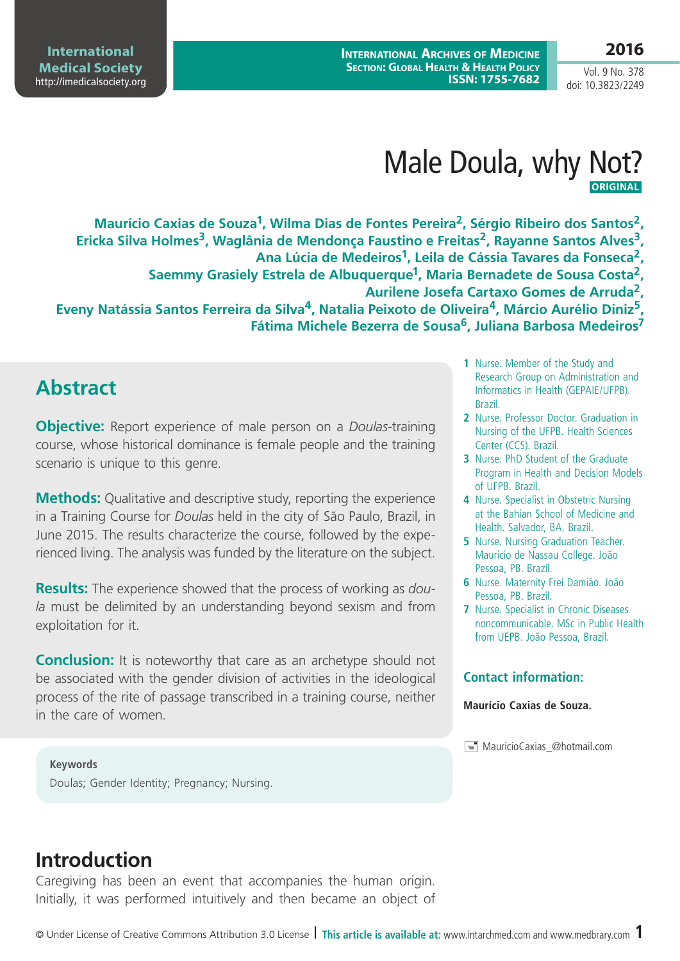**2016**

Vol. 9 No. 378 doi: 10.3823/2249

**International Archives of Medicine Section: Global Health & Health Policy ISSN: 1755-7682**

**International Medical Society**  <http://imedicalsociety.org>

# Male Doula, why Not?  **ORIGINAL**

**Maurício Caxias de Souza1, Wilma Dias de Fontes Pereira2, Sérgio Ribeiro dos Santos2,**  Ericka Silva Holmes<sup>3</sup>, Waglânia de Mendonça Faustino e Freitas<sup>2</sup>, Rayanne Santos Alves<sup>3</sup>, **Ana Lúcia de Medeiros1, Leila de Cássia Tavares da Fonseca2, Saemmy Grasiely Estrela de Albuquerque1, Maria Bernadete de Sousa Costa2, Aurilene Josefa Cartaxo Gomes de Arruda2, Eveny Natássia Santos Ferreira da Silva4, Natalia Peixoto de Oliveira4, Márcio Aurélio Diniz5, Fátima Michele Bezerra de Sousa6, Juliana Barbosa Medeiros7**

## **Abstract**

**Objective:** Report experience of male person on a *Doulas*-training course, whose historical dominance is female people and the training scenario is unique to this genre.

**Methods:** Qualitative and descriptive study, reporting the experience in a Training Course for *Doulas* held in the city of São Paulo, Brazil, in June 2015. The results characterize the course, followed by the experienced living. The analysis was funded by the literature on the subject.

**Results:** The experience showed that the process of working as *doula* must be delimited by an understanding beyond sexism and from exploitation for it.

**Conclusion:** It is noteworthy that care as an archetype should not be associated with the gender division of activities in the ideological process of the rite of passage transcribed in a training course, neither in the care of women.

**Keywords** Doulas; Gender Identity; Pregnancy; Nursing.

- **1** Nurse. Member of the Study and Research Group on Administration and Informatics in Health (GEPAIE/UFPB). Brazil.
- **2** Nurse. Professor Doctor. Graduation in Nursing of the UFPB. Health Sciences Center (CCS). Brazil.
- **3** Nurse. PhD Student of the Graduate Program in Health and Decision Models of UFPB. Brazil.
- **4** Nurse. Specialist in Obstetric Nursing at the Bahian School of Medicine and Health. Salvador, BA. Brazil.
- **5** Nurse. Nursing Graduation Teacher. Maurício de Nassau College. João Pessoa, PB. Brazil.
- **6** Nurse. Maternity Frei Damião. João Pessoa, PB. Brazil.
- **7** Nurse. Specialist in Chronic Diseases noncommunicable. MSc in Public Health from UEPB. João Pessoa, Brazil.

#### **Contact information:**

#### **Maurício Caxias de Souza.**

 $\equiv$  MauricioCaxias @hotmail.com

## **Introduction**

Caregiving has been an event that accompanies the human origin. Initially, it was performed intuitively and then became an object of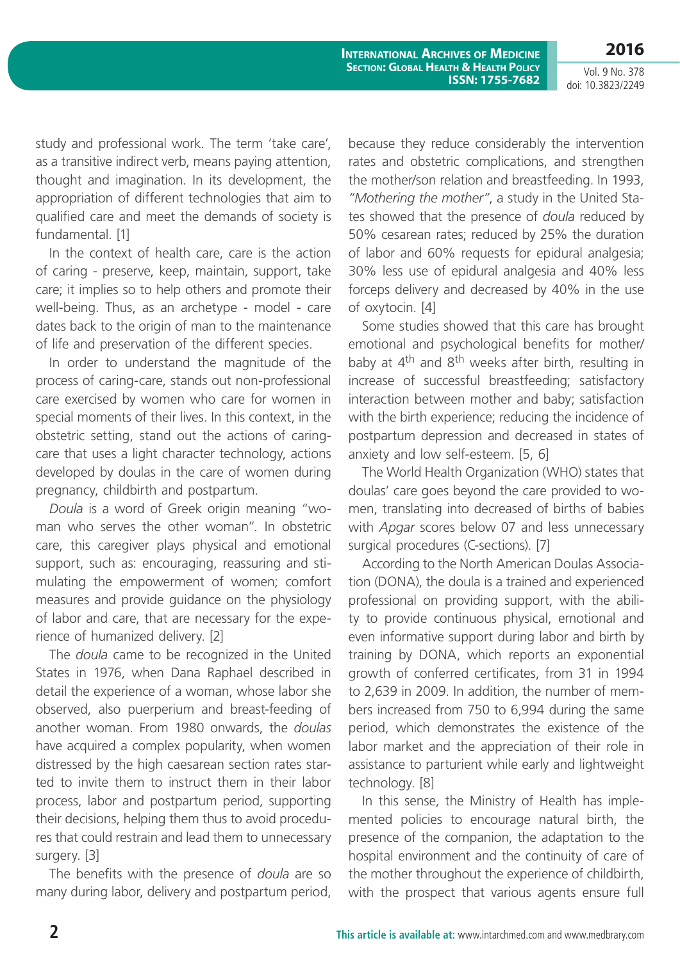Vol. 9 No. 378 doi: 10.3823/2249

**2016**

study and professional work. The term 'take care', as a transitive indirect verb, means paying attention, thought and imagination. In its development, the appropriation of different technologies that aim to qualified care and meet the demands of society is fundamental. [1]

In the context of health care, care is the action of caring - preserve, keep, maintain, support, take care; it implies so to help others and promote their well-being. Thus, as an archetype - model - care dates back to the origin of man to the maintenance of life and preservation of the different species.

In order to understand the magnitude of the process of caring-care, stands out non-professional care exercised by women who care for women in special moments of their lives. In this context, in the obstetric setting, stand out the actions of caringcare that uses a light character technology, actions developed by doulas in the care of women during pregnancy, childbirth and postpartum.

*Doula* is a word of Greek origin meaning "woman who serves the other woman". In obstetric care, this caregiver plays physical and emotional support, such as: encouraging, reassuring and stimulating the empowerment of women; comfort measures and provide guidance on the physiology of labor and care, that are necessary for the experience of humanized delivery. [2]

The *doula* came to be recognized in the United States in 1976, when Dana Raphael described in detail the experience of a woman, whose labor she observed, also puerperium and breast-feeding of another woman. From 1980 onwards, the *doulas* have acquired a complex popularity, when women distressed by the high caesarean section rates started to invite them to instruct them in their labor process, labor and postpartum period, supporting their decisions, helping them thus to avoid procedures that could restrain and lead them to unnecessary surgery. [3]

The benefits with the presence of *doula* are so many during labor, delivery and postpartum period, because they reduce considerably the intervention rates and obstetric complications, and strengthen the mother/son relation and breastfeeding. In 1993, *"Mothering the mother"*, a study in the United States showed that the presence of *doula* reduced by 50% cesarean rates; reduced by 25% the duration of labor and 60% requests for epidural analgesia; 30% less use of epidural analgesia and 40% less forceps delivery and decreased by 40% in the use of oxytocin. [4]

Some studies showed that this care has brought emotional and psychological benefits for mother/ baby at 4<sup>th</sup> and 8<sup>th</sup> weeks after birth, resulting in increase of successful breastfeeding; satisfactory interaction between mother and baby; satisfaction with the birth experience; reducing the incidence of postpartum depression and decreased in states of anxiety and low self-esteem. [5, 6]

The World Health Organization (WHO) states that doulas' care goes beyond the care provided to women, translating into decreased of births of babies with *Apgar* scores below 07 and less unnecessary surgical procedures (C-sections). [7]

According to the North American Doulas Association (DONA), the doula is a trained and experienced professional on providing support, with the ability to provide continuous physical, emotional and even informative support during labor and birth by training by DONA, which reports an exponential growth of conferred certificates, from 31 in 1994 to 2,639 in 2009. In addition, the number of members increased from 750 to 6,994 during the same period, which demonstrates the existence of the labor market and the appreciation of their role in assistance to parturient while early and lightweight technology. [8]

In this sense, the Ministry of Health has implemented policies to encourage natural birth, the presence of the companion, the adaptation to the hospital environment and the continuity of care of the mother throughout the experience of childbirth, with the prospect that various agents ensure full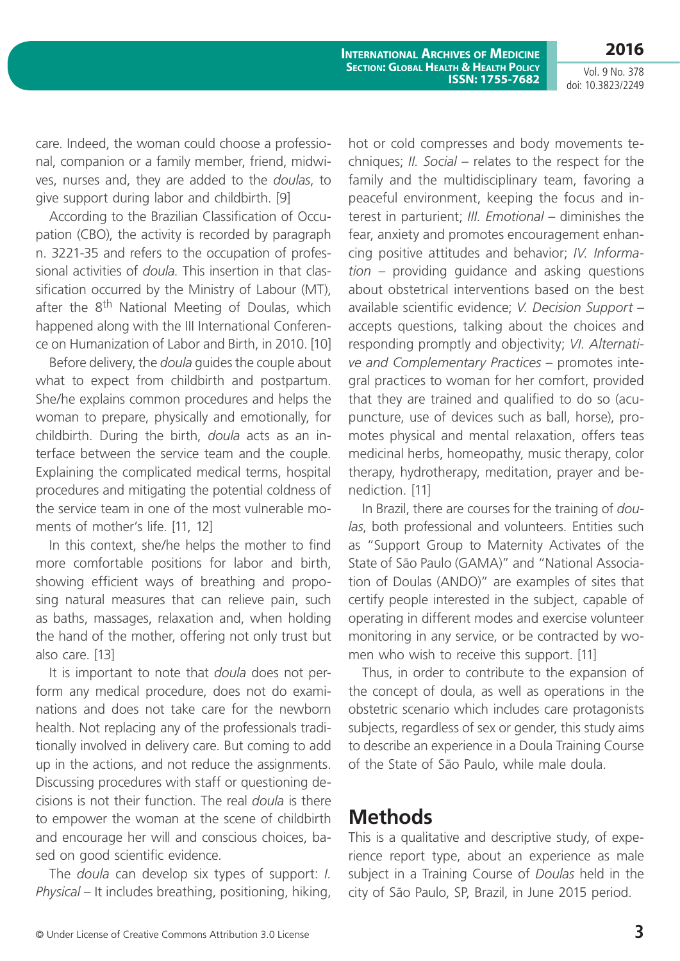Vol. 9 No. 378 doi: 10.3823/2249

**2016**

**International Archives of Medicine Section: Global Health & Health Policy ISSN: 1755-7682**

care. Indeed, the woman could choose a professional, companion or a family member, friend, midwives, nurses and, they are added to the *doulas*, to give support during labor and childbirth. [9]

According to the Brazilian Classification of Occupation (CBO), the activity is recorded by paragraph n. 3221-35 and refers to the occupation of professional activities of *doula*. This insertion in that classification occurred by the Ministry of Labour (MT), after the 8<sup>th</sup> National Meeting of Doulas, which happened along with the III International Conference on Humanization of Labor and Birth, in 2010. [10]

Before delivery, the *doula* guides the couple about what to expect from childbirth and postpartum. She/he explains common procedures and helps the woman to prepare, physically and emotionally, for childbirth. During the birth, *doula* acts as an interface between the service team and the couple. Explaining the complicated medical terms, hospital procedures and mitigating the potential coldness of the service team in one of the most vulnerable moments of mother's life. [11, 12]

In this context, she/he helps the mother to find more comfortable positions for labor and birth, showing efficient ways of breathing and proposing natural measures that can relieve pain, such as baths, massages, relaxation and, when holding the hand of the mother, offering not only trust but also care. [13]

It is important to note that *doula* does not perform any medical procedure, does not do examinations and does not take care for the newborn health. Not replacing any of the professionals traditionally involved in delivery care. But coming to add up in the actions, and not reduce the assignments. Discussing procedures with staff or questioning decisions is not their function. The real *doula* is there to empower the woman at the scene of childbirth and encourage her will and conscious choices, based on good scientific evidence.

The *doula* can develop six types of support: *I. Physical* – It includes breathing, positioning, hiking, hot or cold compresses and body movements techniques; *II. Social* – relates to the respect for the family and the multidisciplinary team, favoring a peaceful environment, keeping the focus and interest in parturient; *III. Emotional* – diminishes the fear, anxiety and promotes encouragement enhancing positive attitudes and behavior; *IV. Information* – providing guidance and asking questions about obstetrical interventions based on the best available scientific evidence; *V. Decision Support* – accepts questions, talking about the choices and responding promptly and objectivity; *VI. Alternative and Complementary Practices* – promotes integral practices to woman for her comfort, provided that they are trained and qualified to do so (acupuncture, use of devices such as ball, horse), promotes physical and mental relaxation, offers teas medicinal herbs, homeopathy, music therapy, color therapy, hydrotherapy, meditation, prayer and benediction. [11]

In Brazil, there are courses for the training of *doulas*, both professional and volunteers. Entities such as "Support Group to Maternity Activates of the State of São Paulo (GAMA)" and "National Association of Doulas (ANDO)" are examples of sites that certify people interested in the subject, capable of operating in different modes and exercise volunteer monitoring in any service, or be contracted by women who wish to receive this support. [11]

Thus, in order to contribute to the expansion of the concept of doula, as well as operations in the obstetric scenario which includes care protagonists subjects, regardless of sex or gender, this study aims to describe an experience in a Doula Training Course of the State of São Paulo, while male doula.

## **Methods**

This is a qualitative and descriptive study, of experience report type, about an experience as male subject in a Training Course of *Doulas* held in the city of São Paulo, SP, Brazil, in June 2015 period.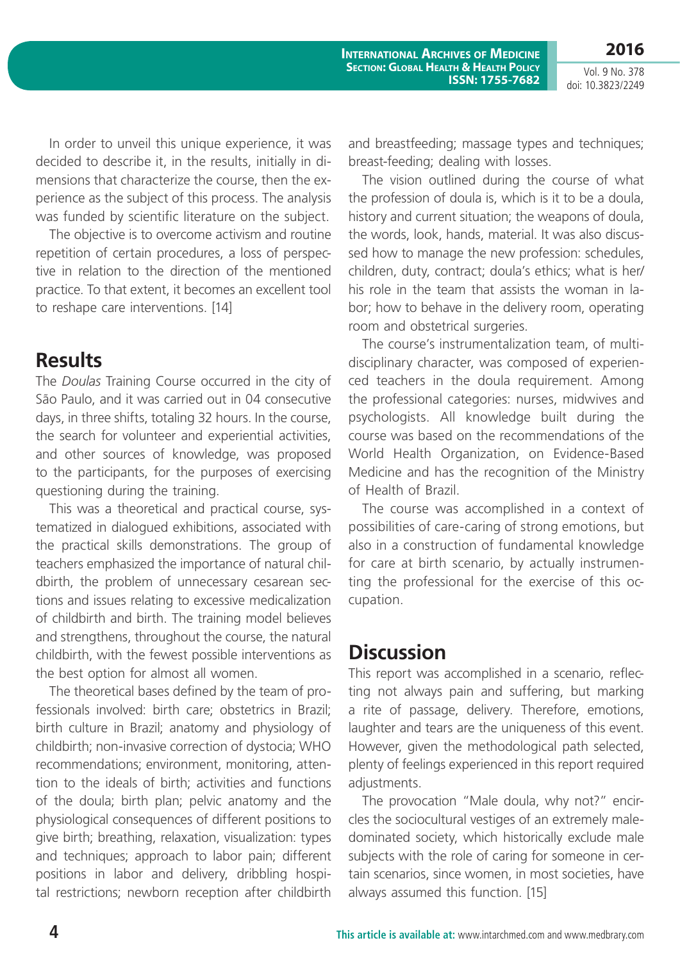Vol. 9 No. 378 doi: 10.3823/2249

**2016**

In order to unveil this unique experience, it was decided to describe it, in the results, initially in dimensions that characterize the course, then the experience as the subject of this process. The analysis was funded by scientific literature on the subject.

The objective is to overcome activism and routine repetition of certain procedures, a loss of perspective in relation to the direction of the mentioned practice. To that extent, it becomes an excellent tool to reshape care interventions. [14]

### **Results**

The *Doulas* Training Course occurred in the city of São Paulo, and it was carried out in 04 consecutive days, in three shifts, totaling 32 hours. In the course, the search for volunteer and experiential activities, and other sources of knowledge, was proposed to the participants, for the purposes of exercising questioning during the training.

This was a theoretical and practical course, systematized in dialogued exhibitions, associated with the practical skills demonstrations. The group of teachers emphasized the importance of natural childbirth, the problem of unnecessary cesarean sections and issues relating to excessive medicalization of childbirth and birth. The training model believes and strengthens, throughout the course, the natural childbirth, with the fewest possible interventions as the best option for almost all women.

The theoretical bases defined by the team of professionals involved: birth care; obstetrics in Brazil; birth culture in Brazil; anatomy and physiology of childbirth; non-invasive correction of dystocia; WHO recommendations; environment, monitoring, attention to the ideals of birth; activities and functions of the doula; birth plan; pelvic anatomy and the physiological consequences of different positions to give birth; breathing, relaxation, visualization: types and techniques; approach to labor pain; different positions in labor and delivery, dribbling hospital restrictions; newborn reception after childbirth and breastfeeding; massage types and techniques; breast-feeding; dealing with losses.

The vision outlined during the course of what the profession of doula is, which is it to be a doula, history and current situation; the weapons of doula, the words, look, hands, material. It was also discussed how to manage the new profession: schedules, children, duty, contract; doula's ethics; what is her/ his role in the team that assists the woman in labor; how to behave in the delivery room, operating room and obstetrical surgeries.

The course's instrumentalization team, of multidisciplinary character, was composed of experienced teachers in the doula requirement. Among the professional categories: nurses, midwives and psychologists. All knowledge built during the course was based on the recommendations of the World Health Organization, on Evidence-Based Medicine and has the recognition of the Ministry of Health of Brazil.

The course was accomplished in a context of possibilities of care-caring of strong emotions, but also in a construction of fundamental knowledge for care at birth scenario, by actually instrumenting the professional for the exercise of this occupation.

## **Discussion**

This report was accomplished in a scenario, reflecting not always pain and suffering, but marking a rite of passage, delivery. Therefore, emotions, laughter and tears are the uniqueness of this event. However, given the methodological path selected, plenty of feelings experienced in this report required adjustments.

The provocation "Male doula, why not?" encircles the sociocultural vestiges of an extremely maledominated society, which historically exclude male subjects with the role of caring for someone in certain scenarios, since women, in most societies, have always assumed this function. [15]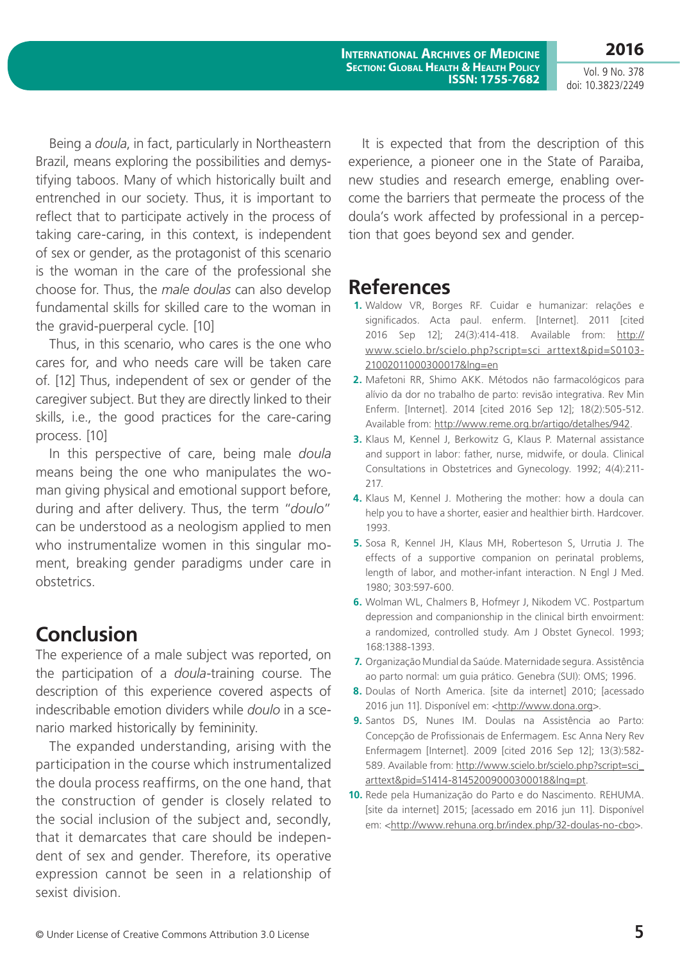**2016** Vol. 9 No. 378

doi: 10.3823/2249

Being a *doula*, in fact, particularly in Northeastern Brazil, means exploring the possibilities and demystifying taboos. Many of which historically built and entrenched in our society. Thus, it is important to reflect that to participate actively in the process of taking care-caring, in this context, is independent of sex or gender, as the protagonist of this scenario is the woman in the care of the professional she choose for. Thus, the *male doulas* can also develop fundamental skills for skilled care to the woman in the gravid-puerperal cycle. [10]

Thus, in this scenario, who cares is the one who cares for, and who needs care will be taken care of. [12] Thus, independent of sex or gender of the caregiver subject. But they are directly linked to their skills, i.e., the good practices for the care-caring process. [10]

In this perspective of care, being male *doula* means being the one who manipulates the woman giving physical and emotional support before, during and after delivery. Thus, the term "*doulo*" can be understood as a neologism applied to men who instrumentalize women in this singular moment, breaking gender paradigms under care in obstetrics.

## **Conclusion**

The experience of a male subject was reported, on the participation of a *doula*-training course. The description of this experience covered aspects of indescribable emotion dividers while *doulo* in a scenario marked historically by femininity.

The expanded understanding, arising with the participation in the course which instrumentalized the doula process reaffirms, on the one hand, that the construction of gender is closely related to the social inclusion of the subject and, secondly, that it demarcates that care should be independent of sex and gender. Therefore, its operative expression cannot be seen in a relationship of sexist division.

It is expected that from the description of this experience, a pioneer one in the State of Paraiba, new studies and research emerge, enabling overcome the barriers that permeate the process of the doula's work affected by professional in a perception that goes beyond sex and gender.

### **References**

- **1.** Waldow VR, Borges RF. Cuidar e humanizar: relações e significados. Acta paul. enferm. [Internet]. 2011 [cited 2016 Sep 12]; 24(3):414-418. Available from: [http://](http://www.scielo.br/scielo.php?script=sci_arttext&pid=S0103-21002011000300017&lng=en) [www.scielo.br/scielo.php?script=sci\\_arttext&pid=S0103-](http://www.scielo.br/scielo.php?script=sci_arttext&pid=S0103-21002011000300017&lng=en) [21002011000300017&lng=en](http://www.scielo.br/scielo.php?script=sci_arttext&pid=S0103-21002011000300017&lng=en)
- **2.** Mafetoni RR, Shimo AKK. Métodos não farmacológicos para alívio da dor no trabalho de parto: revisão integrativa. Rev Min Enferm. [Internet]. 2014 [cited 2016 Sep 12]; 18(2):505-512. Available from: [http://www.reme.org.br/artigo/detalhes/942.](http://www.reme.org.br/artigo/detalhes/942)
- **3.** Klaus M, Kennel J, Berkowitz G, Klaus P. Maternal assistance and support in labor: father, nurse, midwife, or doula. Clinical Consultations in Obstetrices and Gynecology. 1992; 4(4):211- 217.
- **4.** Klaus M, Kennel J. Mothering the mother: how a doula can help you to have a shorter, easier and healthier birth. Hardcover. 1993.
- **5.** Sosa R, Kennel JH, Klaus MH, Roberteson S, Urrutia J. The effects of a supportive companion on perinatal problems, length of labor, and mother-infant interaction. N Engl J Med. 1980; 303:597-600.
- **6.** Wolman WL, Chalmers B, Hofmeyr J, Nikodem VC. Postpartum depression and companionship in the clinical birth envoirment: a randomized, controlled study. Am J Obstet Gynecol. 1993; 168:1388-1393.
- **7.** Organização Mundial da Saúde. Maternidade segura. Assistência ao parto normal: um guia prático. Genebra (SUI): OMS; 1996.
- **8.** Doulas of North America. [site da internet] 2010; [acessado 2016 jun 11]. Disponível em: [<http://www.dona.org](http://www.dona.org)>.
- **9.** Santos DS, Nunes IM. Doulas na Assistência ao Parto: Concepção de Profissionais de Enfermagem. Esc Anna Nery Rev Enfermagem [Internet]. 2009 [cited 2016 Sep 12]; 13(3):582- 589. Available from: [http://www.scielo.br/scielo.php?script=sci\\_](http://www.scielo.br/scielo.php?script=sci_arttext&pid=S1414-81452009000300018&lng=pt) [arttext&pid=S1414-81452009000300018&lng=pt.](http://www.scielo.br/scielo.php?script=sci_arttext&pid=S1414-81452009000300018&lng=pt)
- **10.** Rede pela Humanização do Parto e do Nascimento. REHUMA. [site da internet] 2015; [acessado em 2016 jun 11]. Disponível em: [<http://www.rehuna.org.br/index.php/32-doulas-no-cbo>](http://www.rehuna.org.br/index.php/32-doulas-no-cbo).